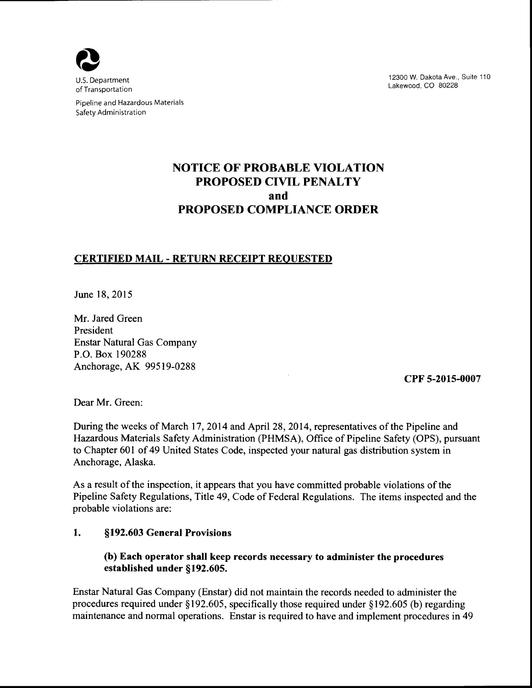

U.S. Department of Transportation

Pipeline and Hazardous Materials Safety Administration

12300 W. Dakota Ave., Suite 110 Lakewood, CO 80228

# **NOTICE OF PROBABLE VIOLATION PROPOSED CIVIL PENALTY and PROPOSED COMPLIANCE ORDER**

# **CERTIFIED MAIL- RETURN RECEIPT REQUESTED**

June 18, 2015

Mr. Jared Green President Enstar Natural Gas Company P.O. Box 190288 Anchorage, AK 99519-0288

**CPF 5-2015-0007** 

Dear Mr. Green:

During the weeks of March 17, 2014 and April28, 2014, representatives of the Pipeline and Hazardous Materials Safety Administration (PHMSA), Office of Pipeline Safety (OPS), pursuant to Chapter 601 of 49 United States Code, inspected your natural gas distribution system in Anchorage, Alaska.

As a result of the inspection, it appears that you have committed probable violations of the Pipeline Safety Regulations, Title 49, Code of Federal Regulations. The items inspected and the probable violations are:

## **1. §192.603 General Provisions**

## **(b) Each operator shall keep records necessary to administer the procedures established under §192.605.**

Enstar Natural Gas Company (Enstar) did not maintain the records needed to administer the procedures required under § 192.605, specifically those required under § 192.605 (b) regarding maintenance and normal operations. Enstar is required to have and implement procedures in 49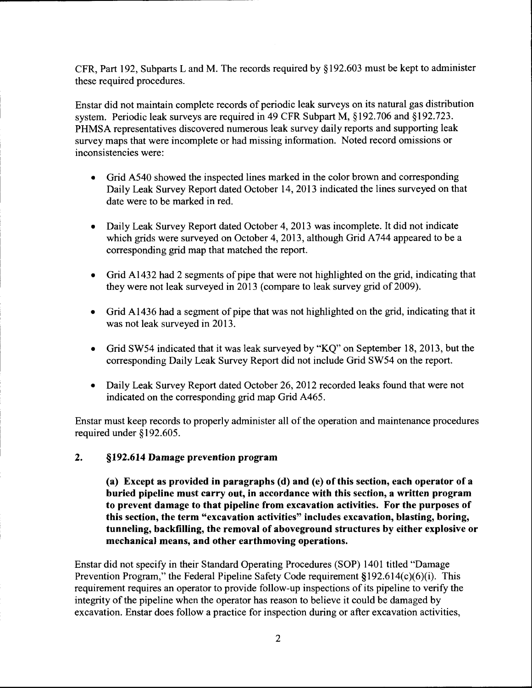CFR, Part 192, Subparts L and M. The records required by § 192.603 must be kept to administer these required procedures.

Enstar did not maintain complete records of periodic leak surveys on its natural gas distribution system. Periodic leak surveys are required in 49 CFR Subpart M, §192.706 and §192.723. PHMSA representatives discovered numerous leak survey daily reports and supporting leak survey maps that were incomplete or had missing information. Noted record omissions or inconsistencies were:

- Grid A540 showed the inspected lines marked in the color brown and corresponding Daily Leak Survey Report dated October 14, 2013 indicated the lines surveyed on that date were to be marked in red.
- Daily Leak Survey Report dated October 4, 2013 was incomplete. It did not indicate which grids were surveyed on October 4, 2013, although Grid A744 appeared to be a corresponding grid map that matched the report.
- Grid A1432 had 2 segments of pipe that were not highlighted on the grid, indicating that they were not leak surveyed in 2013 (compare to leak survey grid of 2009).
- Grid A1436 had a segment of pipe that was not highlighted on the grid, indicating that it was not leak surveyed in 2013.
- Grid SW54 indicated that it was leak surveyed by "KQ" on September 18, 2013, but the corresponding Daily Leak Survey Report did not include Grid SW54 on the report.
- Daily Leak Survey Report dated October 26, 2012 recorded leaks found that were not indicated on the corresponding grid map Grid A465.

Enstar must keep records to properly administer all of the operation and maintenance procedures required under §192.605.

**2. §192.614 Damage prevention program** 

**(a) Except as provided in paragraphs (d) and** (e) **ofthis section, each operator of a buried pipeline must carry out, in accordance with this section, a written program to prevent damage to that pipeline from excavation activities. For the purposes of this section, the term "excavation activities" includes excavation, blasting, boring, tunneling, backfilling, the removal of aboveground structures by either explosive or mechanical means, and other earthmoving operations.** 

Enstar did not specify in their Standard Operating Procedures (SOP) 1401 titled "Damage Prevention Program," the Federal Pipeline Safety Code requirement  $$192.614(c)(6)(i)$ . This requirement requires an operator to provide follow-up inspections of its pipeline to verify the integrity of the pipeline when the operator has reason to believe it could be damaged by excavation. Enstar does follow a practice for inspection during or after excavation activities,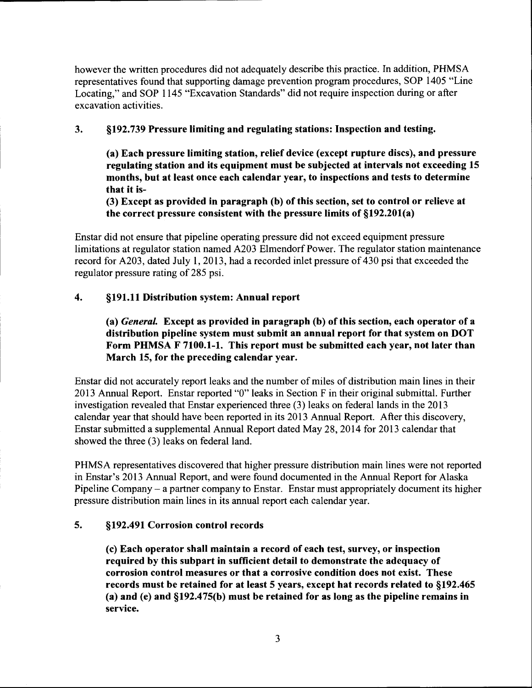however the written procedures did not adequately describe this practice. In addition, PHMSA representatives found that supporting damage prevention program procedures, SOP 1405 "Line Locating," and SOP 1145 "Excavation Standards" did not require inspection during or after excavation activities.

## 3. §192.739 Pressure limiting and regulating stations: Inspection and testing.

(a) Each pressure limiting station, relief device (except rupture discs), and pressure regulating station and its equipment must be subjected at intervals not exceeding 15 months, but at least once each calendar year, to inspections and tests to determine that it is-

(3) Except as provided in paragraph (b) of this section, set to control or relieve at the correct pressure consistent with the pressure limits of §192.201(a)

Enstar did not ensure that pipeline operating pressure did not exceed equipment pressure limitations at regulator station named A203 Elmendorf Power. The regulator station maintenance record for A203, dated July I, 2013, had a recorded inlet pressure of 430 psi that exceeded the regulator pressure rating of 285 psi.

# 4. §191.11 Distribution system: Annual report

(a) *General.* Except as provided in paragraph (b) ofthis section, each operator of a distribution pipeline system must submit an annual report for that system on DOT Form PHMSA F 7100.1-1. This report must be submitted each year, not later than March 15, for the preceding calendar year.

Enstar did not accurately report leaks and the number of miles of distribution main lines in their 2013 Annual Report. Enstar reported "0" leaks in Section F in their original submittal. Further investigation revealed that Enstar experienced three (3) leaks on federal lands in the 2013 calendar year that should have been reported in its 2013 Annual Report. After this discovery, Enstar submitted a supplemental Annual Report dated May 28, 2014 for 2013 calendar that showed the three (3) leaks on federal land.

PHMSA representatives discovered that higher pressure distribution main lines were not reported in Enstar's 2013 Annual Report, and were found documented in the Annual Report for Alaska Pipeline Company- a partner company to Enstar. Enstar must appropriately document its higher pressure distribution main lines in its annual report each calendar year.

## 5. §192.491 Corrosion control records

(c) Each operator shall maintain a record of each test, survey, or inspection required by this subpart in sufficient detail to demonstrate the adequacy of corrosion control measures or that a corrosive condition does not exist. These records must be retained for at least 5 years, except hat records related to §192.465 (a) and (e) and §192.475(b) must be retained for as long as the pipeline remains in service.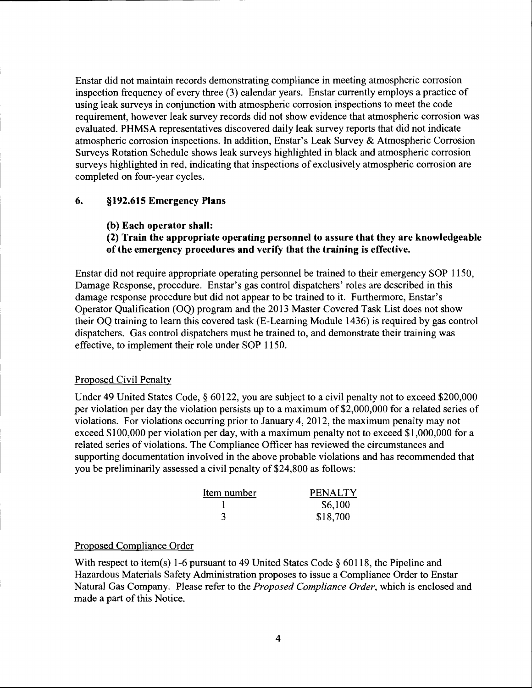Enstar did not maintain records demonstrating compliance in meeting atmospheric corrosion inspection frequency of every three (3) calendar years. Enstar currently employs a practice of using leak surveys in conjunction with atmospheric corrosion inspections to meet the code requirement, however leak survey records did not show evidence that atmospheric corrosion was evaluated. PHMSA representatives discovered daily leak survey reports that did not indicate atmospheric corrosion inspections. In addition, Enstar's Leak Survey & Atmospheric Corrosion Surveys Rotation Schedule shows leak surveys highlighted in black and atmospheric corrosion surveys highlighted in red, indicating that inspections of exclusively atmospheric corrosion are completed on four-year cycles.

## **6. §192.615 Emergency Plans**

**(b) Each operator shall:** 

## **(2) Train the appropriate operating personnel to assure that they are knowledgeable of the emergency procedures and verify that the training is effective.**

Enstar did not require appropriate operating personnel be trained to their emergency SOP 1150, Damage Response, procedure. Enstar's gas control dispatchers' roles are described in this damage response procedure but did not appear to be trained to it. Furthermore, Enstar's Operator Qualification (OQ) program and the 2013 Master Covered Task List does not show their OQ training to learn this covered task (E-Leaming Module 1436) is required by gas control dispatchers. Gas control dispatchers must be trained to, and demonstrate their training was effective, to implement their role under SOP 1150.

### Proposed Civil Penalty

Under 49 United States Code,§ 60122, you are subject to a civil penalty not to exceed \$200,000 per violation per day the violation persists up to a maximum of \$2,000,000 for a related series of violations. For violations occurring prior to January 4, 2012, the maximum penalty may not exceed \$100,000 per violation per day, with a maximum penalty not to exceed \$1,000,000 for a related series of violations. The Compliance Officer has reviewed the circumstances and supporting documentation involved in the above probable violations and has recommended that you be preliminarily assessed a civil penalty of \$24,800 as follows:

| Item number | <b>PENALTY</b> |
|-------------|----------------|
|             | \$6,100        |
|             | \$18,700       |

### Proposed Compliance Order

With respect to item(s) 1-6 pursuant to 49 United States Code § 60118, the Pipeline and Hazardous Materials Safety Administration proposes to issue a Compliance Order to Enstar Natural Gas Company. Please refer to the *Proposed Compliance Order,* which is enclosed and made a part of this Notice.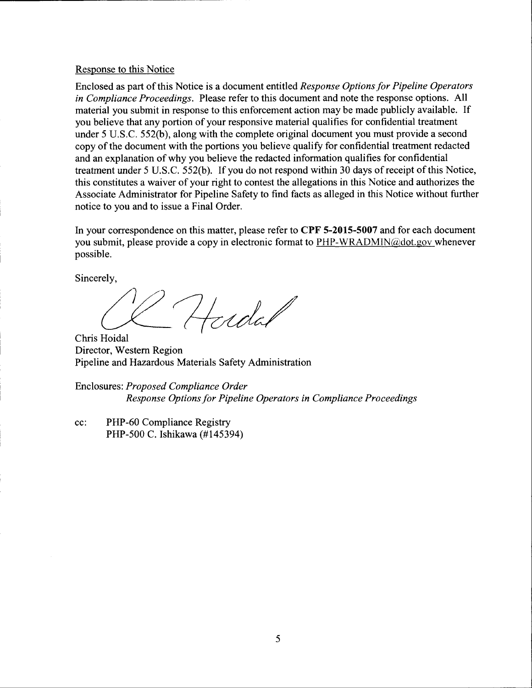#### Response to this Notice

Enclosed as part of this Notice is a document entitled *Response Options for Pipeline Operators in Compliance Proceedings.* Please refer to this document and note the response options. All material you submit in response to this enforcement action may be made publicly available. If you believe that any portion of your responsive material qualifies for confidential treatment under 5 U.S.C. 552(b), along with the complete original document you must provide a second copy of the document with the portions you believe qualify for confidential treatment redacted and an explanation of why you believe the redacted information qualifies for confidential treatment under 5 U.S.C. 552(b). If you do not respond within 30 days of receipt of this Notice, this constitutes a waiver of your right to contest the allegations in this Notice and authorizes the Associate Administrator for Pipeline Safety to find facts as alleged in this Notice without further notice to you and to issue a Final Order.

In your correspondence on this matter, please refer to **CPF 5-2015-5007** and for each document you submit, please provide a copy in electronic format to  $\frac{PHP-WRADMN(\omega)\cdot dot.gov}$  whenever possible.

Sincerely,

Hudal

Chris Hoidal Director, Western Region Pipeline and Hazardous Materials Safety Administration

Enclosures: *Proposed Compliance Order Response Options for Pipeline Operators in Compliance Proceedings* 

cc: PHP-60 Compliance Registry PHP-500 C. Ishikawa (#145394)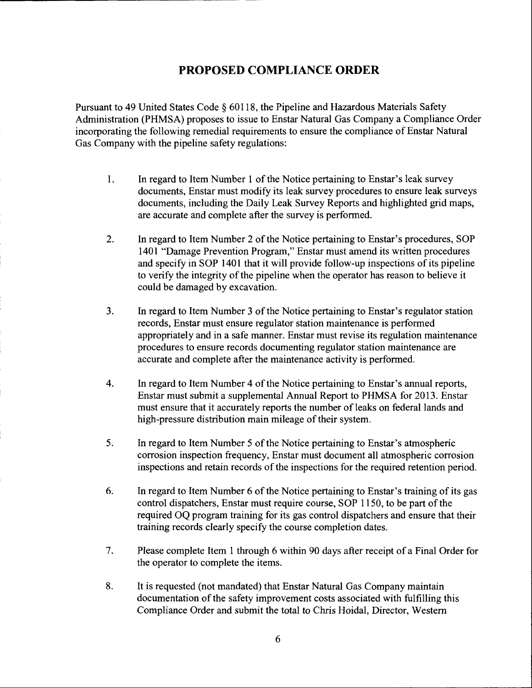# **PROPOSED COMPLIANCE ORDER**

Pursuant to 49 United States Code § 60118, the Pipeline and Hazardous Materials Safety Administration (PHMSA) proposes to issue to Enstar Natural Gas Company a Compliance Order incorporating the following remedial requirements to ensure the compliance of Enstar Natural Gas Company with the pipeline safety regulations:

- 1. In regard to Item Number 1 of the Notice pertaining to Enstar's leak survey documents, Enstar must modify its leak survey procedures to ensure leak surveys documents, including the Daily Leak Survey Reports and highlighted grid maps, are accurate and complete after the survey is performed.
- 2. In regard to Item Number 2 of the Notice pertaining to Enstar's procedures, SOP 1401 "Damage Prevention Program," Enstar must amend its written procedures and specify in SOP 1401 that it will provide follow-up inspections of its pipeline to verify the integrity of the pipeline when the operator has reason to believe it could be damaged by excavation.
- 3. In regard to Item Number 3 of the Notice pertaining to Enstar's regulator station records, Enstar must ensure regulator station maintenance is performed appropriately and in a safe manner. Enstar must revise its regulation maintenance procedures to ensure records documenting regulator station maintenance are accurate and complete after the maintenance activity is performed.
- 4. In regard to Item Number 4 of the Notice pertaining to Enstar's annual reports, Enstar must submit a supplemental Annual Report to PHMSA for 2013. Enstar must ensure that it accurately reports the number of leaks on federal lands and high-pressure distribution main mileage of their system.
- 5. In regard to Item Number 5 of the Notice pertaining to Enstar's atmospheric corrosion inspection frequency, Enstar must document all atmospheric corrosion inspections and retain records of the inspections for the required retention period.
- 6. In regard to Item Number 6 of the Notice pertaining to Enstar's training of its gas control dispatchers, Enstar must require course, SOP 1150, to be part of the required OQ program training for its gas control dispatchers and ensure that their training records clearly specify the course completion dates.
- 7. Please complete Item 1 through 6 within 90 days after receipt of a Final Order for the operator to complete the items.
- 8. It is requested (not mandated) that Enstar Natural Gas Company maintain documentation of the safety improvement costs associated with fulfilling this Compliance Order and submit the total to Chris Hoidal, Director, Western